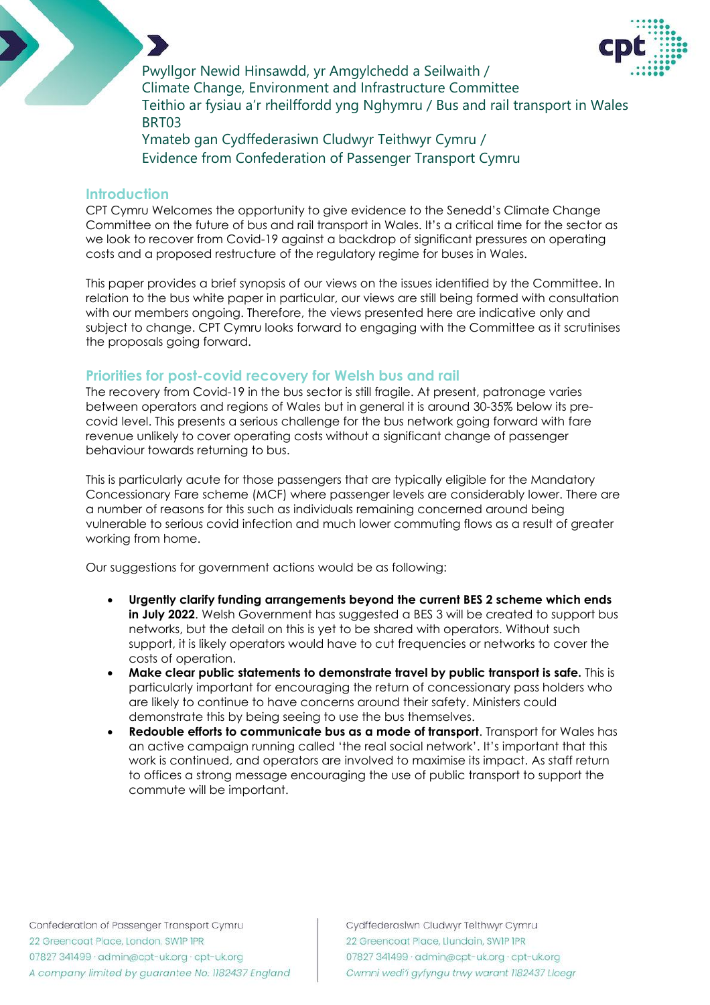

Pwyllgor Newid Hinsawdd, yr Amgylchedd a Seilwaith / Climate Change, Environment and Infrastructure Committee Teithio ar fysiau a'r rheilffordd yng Nghymru / Bus and rail transport in Wales BRT03

Ymateb gan Cydffederasiwn Cludwyr Teithwyr Cymru / Evidence from Confederation of Passenger Transport Cymru

#### **Introduction**

CPT Cymru Welcomes the opportunity to give evidence to the Senedd's Climate Change Committee on the future of bus and rail transport in Wales. It's a critical time for the sector as we look to recover from Covid-19 against a backdrop of significant pressures on operating costs and a proposed restructure of the regulatory regime for buses in Wales.

This paper provides a brief synopsis of our views on the issues identified by the Committee. In relation to the bus white paper in particular, our views are still being formed with consultation with our members ongoing. Therefore, the views presented here are indicative only and subject to change. CPT Cymru looks forward to engaging with the Committee as it scrutinises the proposals going forward.

#### **Priorities for post-covid recovery for Welsh bus and rail**

The recovery from Covid-19 in the bus sector is still fragile. At present, patronage varies between operators and regions of Wales but in general it is around 30-35% below its precovid level. This presents a serious challenge for the bus network going forward with fare revenue unlikely to cover operating costs without a significant change of passenger behaviour towards returning to bus.

This is particularly acute for those passengers that are typically eligible for the Mandatory Concessionary Fare scheme (MCF) where passenger levels are considerably lower. There are a number of reasons for this such as individuals remaining concerned around being vulnerable to serious covid infection and much lower commuting flows as a result of greater working from home.

Our suggestions for government actions would be as following:

- **Urgently clarify funding arrangements beyond the current BES 2 scheme which ends in July 2022**. Welsh Government has suggested a BES 3 will be created to support bus networks, but the detail on this is yet to be shared with operators. Without such support, it is likely operators would have to cut frequencies or networks to cover the costs of operation.
- **Make clear public statements to demonstrate travel by public transport is safe.** This is particularly important for encouraging the return of concessionary pass holders who are likely to continue to have concerns around their safety. Ministers could demonstrate this by being seeing to use the bus themselves.
- **Redouble efforts to communicate bus as a mode of transport**. Transport for Wales has an active campaign running called 'the real social network'. It's important that this work is continued, and operators are involved to maximise its impact. As staff return to offices a strong message encouraging the use of public transport to support the commute will be important.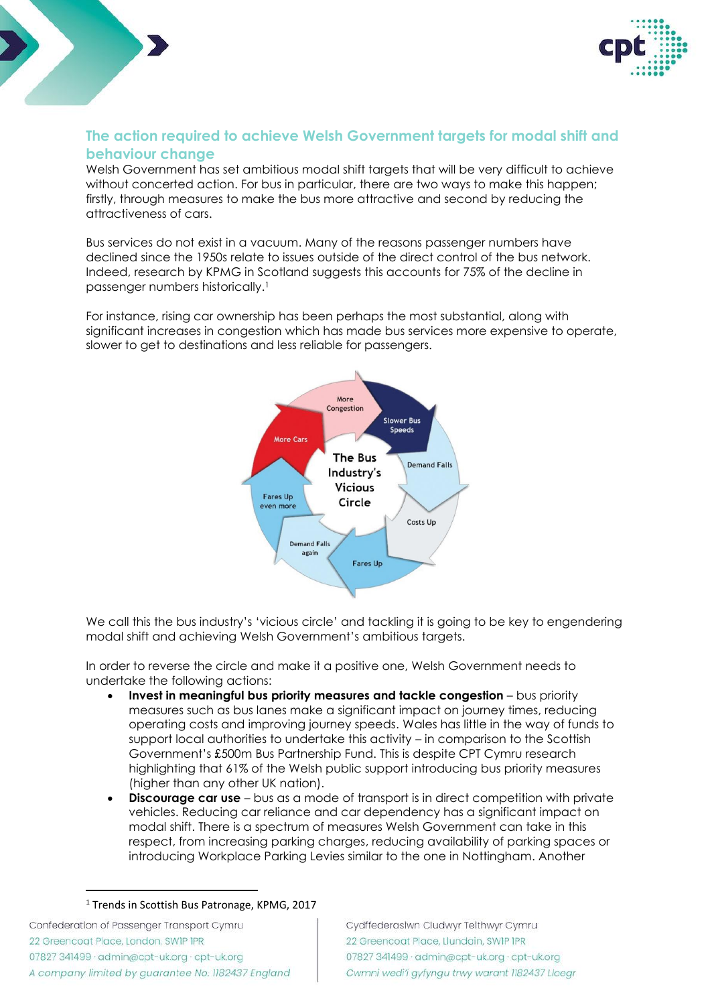

## **The action required to achieve Welsh Government targets for modal shift and behaviour change**

Welsh Government has set ambitious modal shift targets that will be very difficult to achieve without concerted action. For bus in particular, there are two ways to make this happen; firstly, through measures to make the bus more attractive and second by reducing the attractiveness of cars.

Bus services do not exist in a vacuum. Many of the reasons passenger numbers have declined since the 1950s relate to issues outside of the direct control of the bus network. Indeed, research by KPMG in Scotland suggests this accounts for 75% of the decline in passenger numbers historically.<sup>1</sup>

For instance, rising car ownership has been perhaps the most substantial, along with significant increases in congestion which has made bus services more expensive to operate, slower to get to destinations and less reliable for passengers.



We call this the bus industry's 'vicious circle' and tackling it is going to be key to engendering modal shift and achieving Welsh Government's ambitious targets.

In order to reverse the circle and make it a positive one, Welsh Government needs to undertake the following actions:

- **Invest in meaningful bus priority measures and tackle congestion** bus priority measures such as bus lanes make a significant impact on journey times, reducing operating costs and improving journey speeds. Wales has little in the way of funds to support local authorities to undertake this activity – in comparison to the Scottish Government's £500m Bus Partnership Fund. This is despite CPT Cymru research highlighting that 61% of the Welsh public support introducing bus priority measures (higher than any other UK nation).
- **Discourage car use**  bus as a mode of transport is in direct competition with private vehicles. Reducing car reliance and car dependency has a significant impact on modal shift. There is a spectrum of measures Welsh Government can take in this respect, from increasing parking charges, reducing availability of parking spaces or introducing Workplace Parking Levies similar to the one in Nottingham. Another

<sup>&</sup>lt;sup>1</sup> Trends in Scottish Bus Patronage, KPMG, 2017

Confederation of Passenger Transport Cymru 22 Greencoat Place, London, SWIP IPR 07827 341499 · admin@cpt-uk.org · cpt-uk.org A company limited by guarantee No. 1182437 England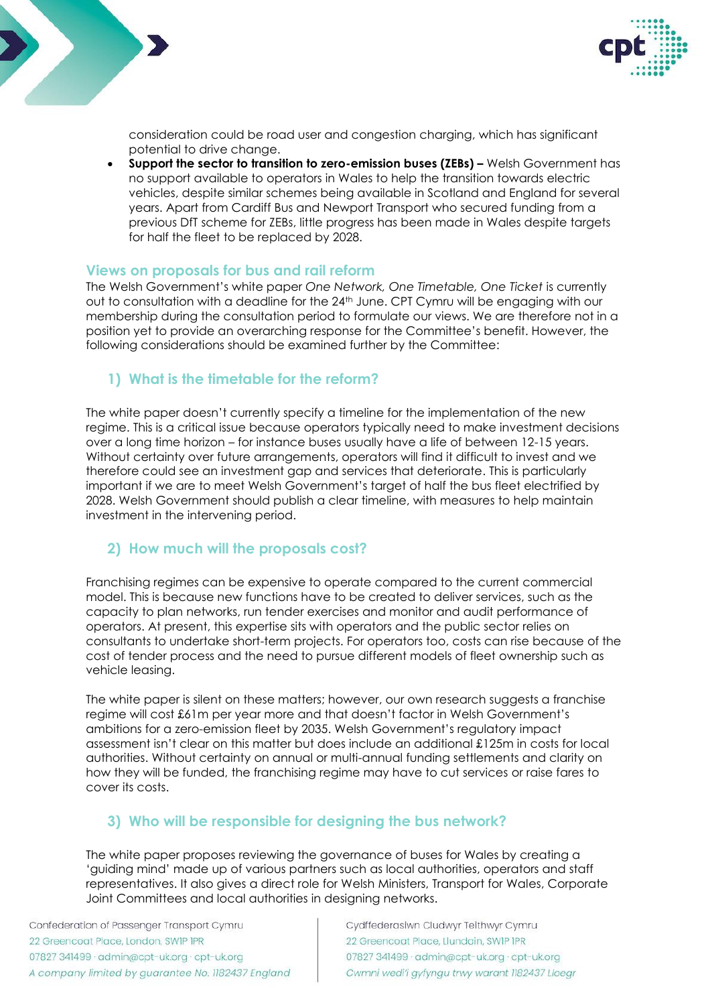



consideration could be road user and congestion charging, which has significant potential to drive change.

• **Support the sector to transition to zero-emission buses (ZEBs) –** Welsh Government has no support available to operators in Wales to help the transition towards electric vehicles, despite similar schemes being available in Scotland and England for several years. Apart from Cardiff Bus and Newport Transport who secured funding from a previous DfT scheme for ZEBs, little progress has been made in Wales despite targets for half the fleet to be replaced by 2028.

#### **Views on proposals for bus and rail reform**

The Welsh Government's white paper *One Network, One Timetable, One Ticket* is currently out to consultation with a deadline for the 24th June. CPT Cymru will be engaging with our membership during the consultation period to formulate our views. We are therefore not in a position yet to provide an overarching response for the Committee's benefit. However, the following considerations should be examined further by the Committee:

#### **1) What is the timetable for the reform?**

The white paper doesn't currently specify a timeline for the implementation of the new regime. This is a critical issue because operators typically need to make investment decisions over a long time horizon – for instance buses usually have a life of between 12-15 years. Without certainty over future arrangements, operators will find it difficult to invest and we therefore could see an investment gap and services that deteriorate. This is particularly important if we are to meet Welsh Government's target of half the bus fleet electrified by 2028. Welsh Government should publish a clear timeline, with measures to help maintain investment in the intervening period.

### **2) How much will the proposals cost?**

Franchising regimes can be expensive to operate compared to the current commercial model. This is because new functions have to be created to deliver services, such as the capacity to plan networks, run tender exercises and monitor and audit performance of operators. At present, this expertise sits with operators and the public sector relies on consultants to undertake short-term projects. For operators too, costs can rise because of the cost of tender process and the need to pursue different models of fleet ownership such as vehicle leasing.

The white paper is silent on these matters; however, our own research suggests a franchise regime will cost £61m per year more and that doesn't factor in Welsh Government's ambitions for a zero-emission fleet by 2035. Welsh Government's regulatory impact assessment isn't clear on this matter but does include an additional £125m in costs for local authorities. Without certainty on annual or multi-annual funding settlements and clarity on how they will be funded, the franchising regime may have to cut services or raise fares to cover its costs.

### **3) Who will be responsible for designing the bus network?**

The white paper proposes reviewing the governance of buses for Wales by creating a 'guiding mind' made up of various partners such as local authorities, operators and staff representatives. It also gives a direct role for Welsh Ministers, Transport for Wales, Corporate Joint Committees and local authorities in designing networks.

Confederation of Passenger Transport Cymru 22 Greencoat Place, London, SWIP IPR 07827 341499 · admin@cpt-uk.org · cpt-uk.org A company limited by guarantee No. 1182437 England Cydffederasiwn Cludwyr Teithwyr Cymru 22 Greencoat Place, Llundain, SWIP IPR 07827 341499 · admin@cpt-uk.org · cpt-uk.org Cwmni wedi'i gyfyngu trwy warant 1182437 Lloegr